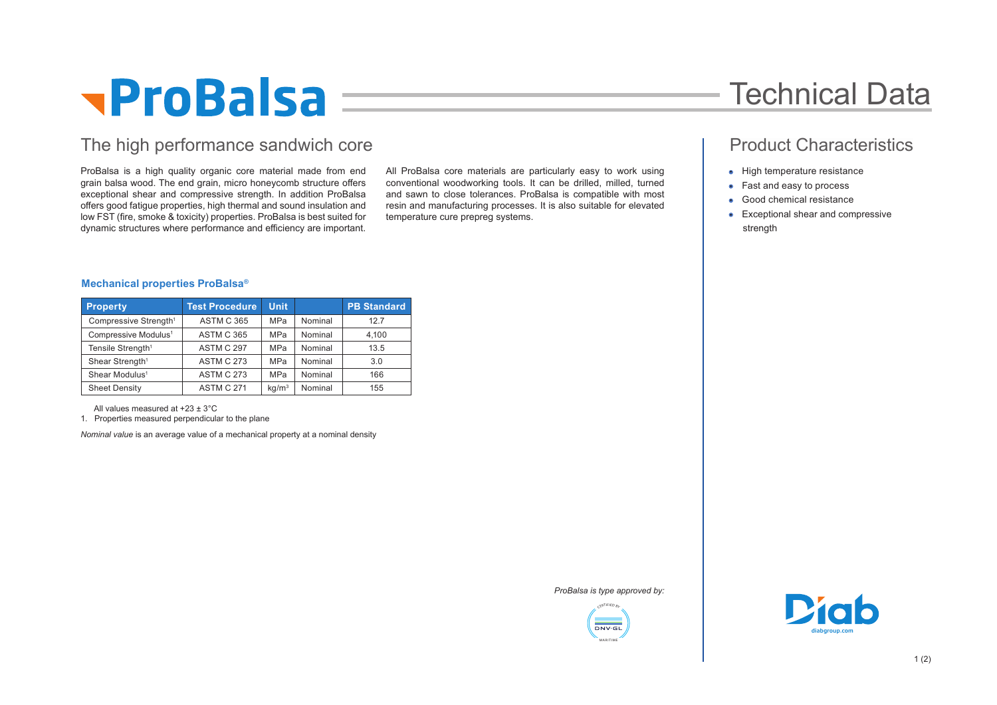# **TProBalsa**

### The high performance sandwich core **Product Characteristics Product Characteristics**

ProBalsa is a high quality organic core material made from end grain balsa wood. The end grain, micro honeycomb structure offers exceptional shear and compressive strength. In addition ProBalsa offers good fatigue properties, high thermal and sound insulation and low FST (fire, smoke & toxicity) properties. ProBalsa is best suited for dynamic structures where performance and efficiency are important.

All ProBalsa core materials are particularly easy to work using conventional woodworking tools. It can be drilled, milled, turned and sawn to close tolerances. ProBalsa is compatible with most resin and manufacturing processes. It is also suitable for elevated temperature cure prepreg systems.

## Technical Data

- High temperature resistance
- Fast and easy to process
- Good chemical resistance
- Exceptional shear and compressive strength

### **Mechanical properties ProBalsa®**

| <b>Property</b>                   | <b>Test Procedure</b> | <b>Unit</b>       |         | <b>PB Standard</b> |
|-----------------------------------|-----------------------|-------------------|---------|--------------------|
| Compressive Strength <sup>1</sup> | <b>ASTM C 365</b>     | <b>MPa</b>        | Nominal | 12.7               |
| Compressive Modulus <sup>1</sup>  | <b>ASTM C 365</b>     | <b>MPa</b>        | Nominal | 4.100              |
| Tensile Strength <sup>1</sup>     | ASTM C 297            | <b>MPa</b>        | Nominal | 13.5               |
| Shear Strength <sup>1</sup>       | <b>ASTM C 273</b>     | <b>MPa</b>        | Nominal | 3.0                |
| Shear Modulus <sup>1</sup>        | <b>ASTM C 273</b>     | <b>MPa</b>        | Nominal | 166                |
| <b>Sheet Density</b>              | <b>ASTM C 271</b>     | kq/m <sup>3</sup> | Nominal | 155                |

All values measured at +23 ± 3°C

1. Properties measured perpendicular to the plane

*Nominal value* is an average value of a mechanical property at a nominal density

*ProBalsa is type approved by:*